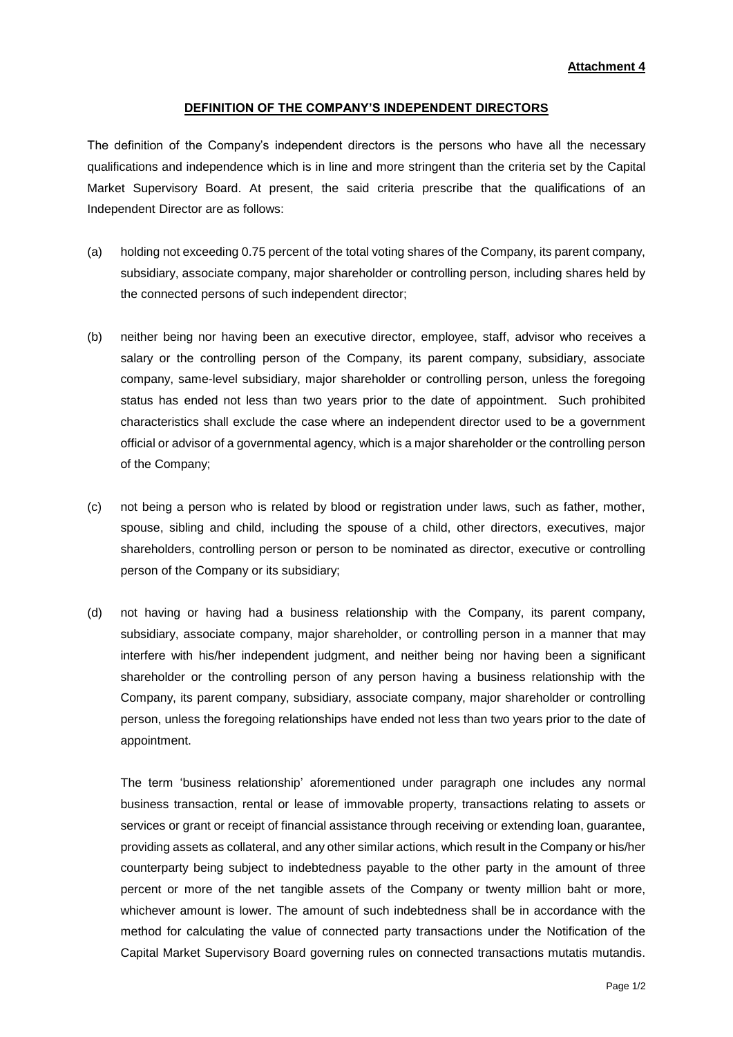## **DEFINITION OF THE COMPANY'S INDEPENDENT DIRECTORS**

The definition of the Company's independent directors is the persons who have all the necessary qualifications and independence which is in line and more stringent than the criteria set by the Capital Market Supervisory Board. At present, the said criteria prescribe that the qualifications of an Independent Director are as follows:

- (a) holding not exceeding 0.75 percent of the total voting shares of the Company, its parent company, subsidiary, associate company, major shareholder or controlling person, including shares held by the connected persons of such independent director;
- (b) neither being nor having been an executive director, employee, staff, advisor who receives a salary or the controlling person of the Company, its parent company, subsidiary, associate company, same-level subsidiary, major shareholder or controlling person, unless the foregoing status has ended not less than two years prior to the date of appointment. Such prohibited characteristics shall exclude the case where an independent director used to be a government official or advisor of a governmental agency, which is a major shareholder or the controlling person of the Company;
- (c) not being a person who is related by blood or registration under laws, such as father, mother, spouse, sibling and child, including the spouse of a child, other directors, executives, major shareholders, controlling person or person to be nominated as director, executive or controlling person of the Company or its subsidiary;
- (d) not having or having had a business relationship with the Company, its parent company, subsidiary, associate company, major shareholder, or controlling person in a manner that may interfere with his/her independent judgment, and neither being nor having been a significant shareholder or the controlling person of any person having a business relationship with the Company, its parent company, subsidiary, associate company, major shareholder or controlling person, unless the foregoing relationships have ended not less than two years prior to the date of appointment.

The term 'business relationship' aforementioned under paragraph one includes any normal business transaction, rental or lease of immovable property, transactions relating to assets or services or grant or receipt of financial assistance through receiving or extending loan, guarantee, providing assets as collateral, and any other similar actions, which result in the Company or his/her counterparty being subject to indebtedness payable to the other party in the amount of three percent or more of the net tangible assets of the Company or twenty million baht or more, whichever amount is lower. The amount of such indebtedness shall be in accordance with the method for calculating the value of connected party transactions under the Notification of the Capital Market Supervisory Board governing rules on connected transactions mutatis mutandis.